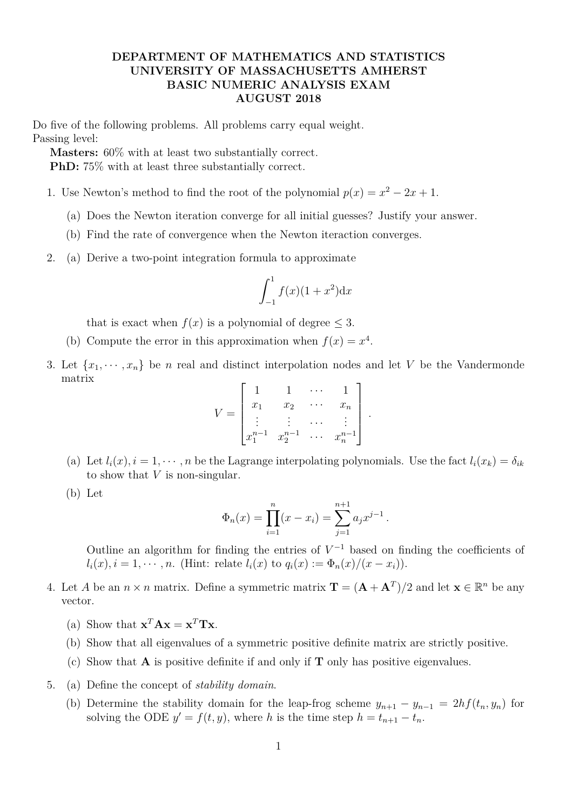## **DEPARTMENT OF MATHEMATICS AND STATISTICS UNIVERSITY OF MASSACHUSETTS AMHERST BASIC NUMERIC ANALYSIS EXAM AUGUST 2018**

Do five of the following problems. All problems carry equal weight. Passing level:

**Masters:** 60% with at least two substantially correct.

**PhD:** 75% with at least three substantially correct.

- 1. Use Newton's method to find the root of the polynomial  $p(x) = x^2 2x + 1$ .
	- (a) Does the Newton iteration converge for all initial guesses? Justify your answer.
	- (b) Find the rate of convergence when the Newton iteraction converges.
- 2. (a) Derive a two-point integration formula to approximate

$$
\int_{-1}^{1} f(x)(1+x^2) \mathrm{d}x
$$

that is exact when  $f(x)$  is a polynomial of degree  $\leq 3$ .

- (b) Compute the error in this approximation when  $f(x) = x^4$ .
- 3. Let  $\{x_1, \dots, x_n\}$  be *n* real and distinct interpolation nodes and let *V* be the Vandermonde matrix

$$
V = \begin{bmatrix} 1 & 1 & \cdots & 1 \\ x_1 & x_2 & \cdots & x_n \\ \vdots & \vdots & \cdots & \vdots \\ x_1^{n-1} & x_2^{n-1} & \cdots & x_n^{n-1} \end{bmatrix}
$$

*.*

- (a) Let  $l_i(x)$ ,  $i = 1, \dots, n$  be the Lagrange interpolating polynomials. Use the fact  $l_i(x_k) = \delta_{ik}$ to show that *V* is non-singular.
- (b) Let

$$
\Phi_n(x) = \prod_{i=1}^n (x - x_i) = \sum_{j=1}^{n+1} a_j x^{j-1}.
$$

Outline an algorithm for finding the entries of  $V^{-1}$  based on finding the coefficients of  $l_i(x), i = 1, \dots, n$ . (Hint: relate  $l_i(x)$  to  $q_i(x) := \Phi_n(x)/(x - x_i)$ ).

- 4. Let *A* be an  $n \times n$  matrix. Define a symmetric matrix  $\mathbf{T} = (\mathbf{A} + \mathbf{A}^T)/2$  and let  $\mathbf{x} \in \mathbb{R}^n$  be any vector.
	- (a) Show that  $\mathbf{x}^T \mathbf{A} \mathbf{x} = \mathbf{x}^T \mathbf{T} \mathbf{x}$ .
	- (b) Show that all eigenvalues of a symmetric positive definite matrix are strictly positive.
	- (c) Show that **A** is positive definite if and only if **T** only has positive eigenvalues.
- 5. (a) Define the concept of *stability domain*.
	- (b) Determine the stability domain for the leap-frog scheme  $y_{n+1} y_{n-1} = 2hf(t_n, y_n)$  for solving the ODE  $y' = f(t, y)$ , where *h* is the time step  $h = t_{n+1} - t_n$ .